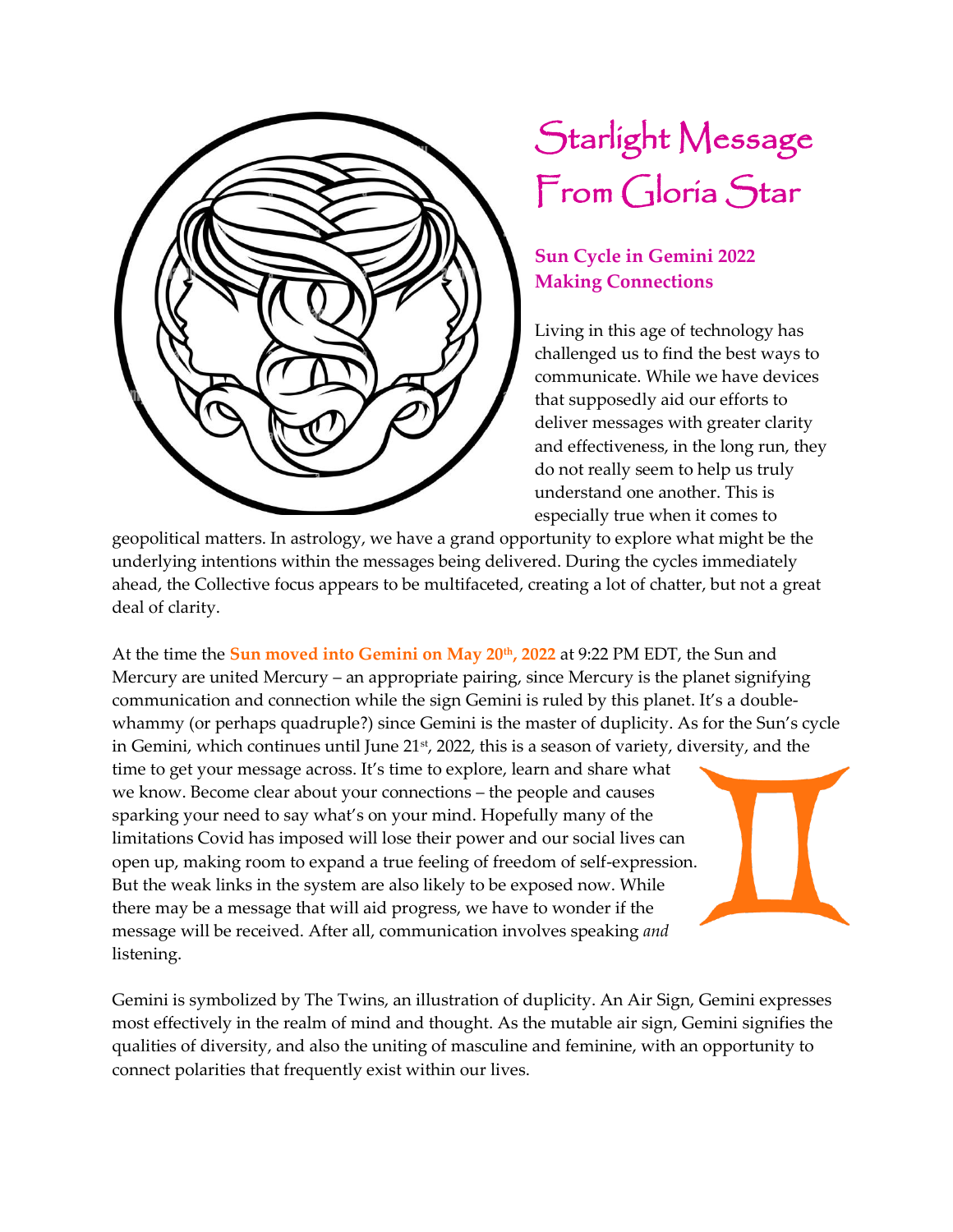

## Starlight Message From Gloria Star

## **Sun Cycle in Gemini 2022 Making Connections**

Living in this age of technology has challenged us to find the best ways to communicate. While we have devices that supposedly aid our efforts to deliver messages with greater clarity and effectiveness, in the long run, they do not really seem to help us truly understand one another. This is especially true when it comes to

geopolitical matters. In astrology, we have a grand opportunity to explore what might be the underlying intentions within the messages being delivered. During the cycles immediately ahead, the Collective focus appears to be multifaceted, creating a lot of chatter, but not a great deal of clarity.

At the time the **Sun moved into Gemini on May 20th, 2022** at 9:22 PM EDT, the Sun and Mercury are united Mercury – an appropriate pairing, since Mercury is the planet signifying communication and connection while the sign Gemini is ruled by this planet. It's a doublewhammy (or perhaps quadruple?) since Gemini is the master of duplicity. As for the Sun's cycle in Gemini, which continues until June 21<sup>st</sup>, 2022, this is a season of variety, diversity, and the time to get your message across. It's time to explore, learn and share what we know. Become clear about your connections – the people and causes sparking your need to say what's on your mind. Hopefully many of the limitations Covid has imposed will lose their power and our social lives can open up, making room to expand a true feeling of freedom of self-expression. But the weak links in the system are also likely to be exposed now. While there may be a message that will aid progress, we have to wonder if the message will be received. After all, communication involves speaking *and* listening.

Gemini is symbolized by The Twins, an illustration of duplicity. An Air Sign, Gemini expresses most effectively in the realm of mind and thought. As the mutable air sign, Gemini signifies the qualities of diversity, and also the uniting of masculine and feminine, with an opportunity to connect polarities that frequently exist within our lives.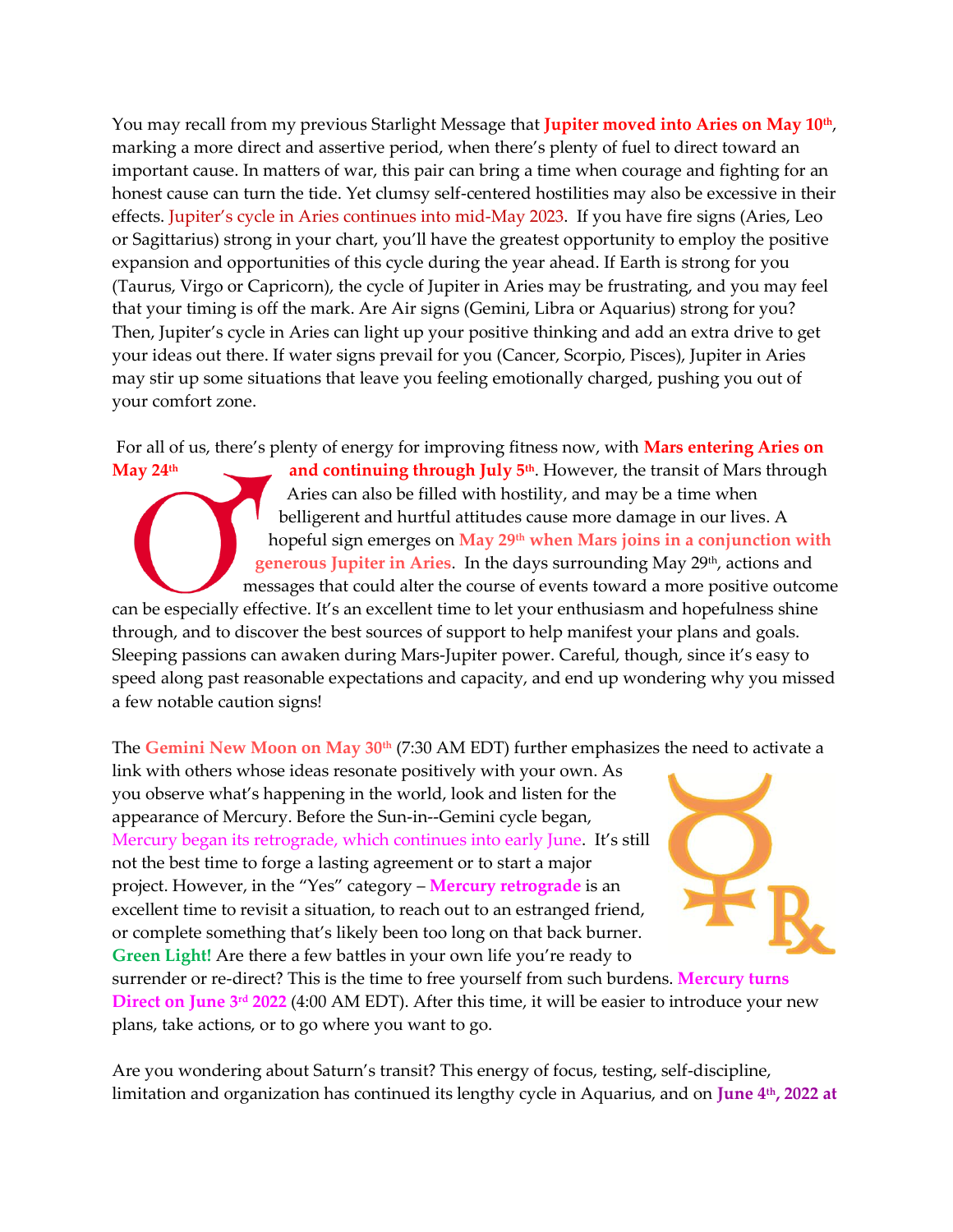You may recall from my previous Starlight Message that **Jupiter moved into Aries on May 10th** , marking a more direct and assertive period, when there's plenty of fuel to direct toward an important cause. In matters of war, this pair can bring a time when courage and fighting for an honest cause can turn the tide. Yet clumsy self-centered hostilities may also be excessive in their effects. Jupiter's cycle in Aries continues into mid-May 2023. If you have fire signs (Aries, Leo or Sagittarius) strong in your chart, you'll have the greatest opportunity to employ the positive expansion and opportunities of this cycle during the year ahead. If Earth is strong for you (Taurus, Virgo or Capricorn), the cycle of Jupiter in Aries may be frustrating, and you may feel that your timing is off the mark. Are Air signs (Gemini, Libra or Aquarius) strong for you? Then, Jupiter's cycle in Aries can light up your positive thinking and add an extra drive to get your ideas out there. If water signs prevail for you (Cancer, Scorpio, Pisces), Jupiter in Aries may stir up some situations that leave you feeling emotionally charged, pushing you out of your comfort zone.

For all of us, there's plenty of energy for improving fitness now, with **Mars entering Aries on** 

**May 24<sup>th</sup> and continuing through July 5<sup>th</sup>. However, the transit of Mars through** Aries can also be filled with hostility, and may be a time when belligerent and hurtful attitudes cause more damage in our lives. A hopeful sign emerges on **May 29th when Mars joins in a conjunction with**  generous Jupiter in Aries. In the days surrounding May 29<sup>th</sup>, actions and messages that could alter the course of events toward a more positive outcome can be especially effective. It's an excellent time to let your enthusiasm and hopefulness shine through, and to discover the best sources of support to help manifest your plans and goals. Sleeping passions can awaken during Mars-Jupiter power. Careful, though, since it's easy to speed along past reasonable expectations and capacity, and end up wondering why you missed a few notable caution signs!

The **Gemini New Moon on May 30th** (7:30 AM EDT) further emphasizes the need to activate a

link with others whose ideas resonate positively with your own. As you observe what's happening in the world, look and listen for the appearance of Mercury. Before the Sun-in--Gemini cycle began, Mercury began its retrograde, which continues into early June. It's still not the best time to forge a lasting agreement or to start a major project. However, in the "Yes" category – **Mercury retrograde** is an excellent time to revisit a situation, to reach out to an estranged friend, or complete something that's likely been too long on that back burner. **Green Light!** Are there a few battles in your own life you're ready to



surrender or re-direct? This is the time to free yourself from such burdens. **Mercury turns Direct on June 3rd 2022** (4:00 AM EDT). After this time, it will be easier to introduce your new plans, take actions, or to go where you want to go.

Are you wondering about Saturn's transit? This energy of focus, testing, self-discipline, limitation and organization has continued its lengthy cycle in Aquarius, and on **June 4th, 2022 at**